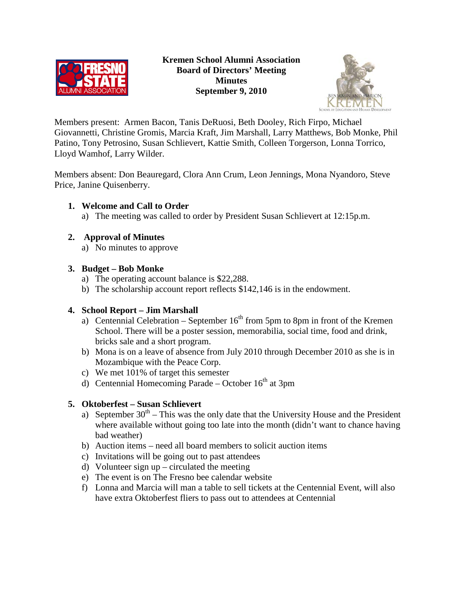



Members present: Armen Bacon, Tanis DeRuosi, Beth Dooley, Rich Firpo, Michael Giovannetti, Christine Gromis, Marcia Kraft, Jim Marshall, Larry Matthews, Bob Monke, Phil Patino, Tony Petrosino, Susan Schlievert, Kattie Smith, Colleen Torgerson, Lonna Torrico, Lloyd Wamhof, Larry Wilder.

Members absent: Don Beauregard, Clora Ann Crum, Leon Jennings, Mona Nyandoro, Steve Price, Janine Quisenberry.

- **1. Welcome and Call to Order**
	- a) The meeting was called to order by President Susan Schlievert at 12:15p.m.

# **2. Approval of Minutes**

a) No minutes to approve

# **3. Budget – Bob Monke**

- a) The operating account balance is \$22,288.
- b) The scholarship account report reflects \$142,146 is in the endowment.

# **4. School Report – Jim Marshall**

- a) Centennial Celebration September  $16<sup>th</sup>$  from 5pm to 8pm in front of the Kremen School. There will be a poster session, memorabilia, social time, food and drink, bricks sale and a short program.
- b) Mona is on a leave of absence from July 2010 through December 2010 as she is in Mozambique with the Peace Corp.
- c) We met 101% of target this semester
- d) Centennial Homecoming Parade October  $16<sup>th</sup>$  at 3pm

# **5. Oktoberfest – Susan Schlievert**

- a) September  $30<sup>th</sup> This was the only date that the University House and the President$ where available without going too late into the month (didn't want to chance having bad weather)
- b) Auction items need all board members to solicit auction items
- c) Invitations will be going out to past attendees
- d) Volunteer sign up circulated the meeting
- e) The event is on The Fresno bee calendar website
- f) Lonna and Marcia will man a table to sell tickets at the Centennial Event, will also have extra Oktoberfest fliers to pass out to attendees at Centennial